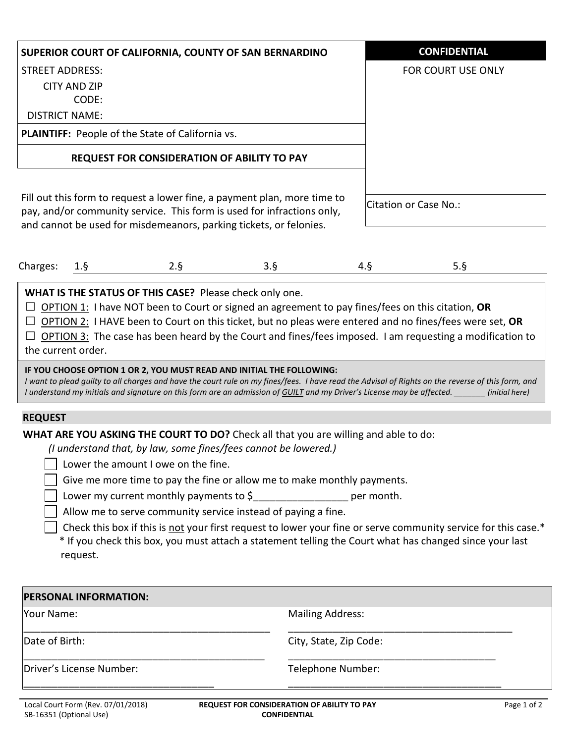| SUPERIOR COURT OF CALIFORNIA, COUNTY OF SAN BERNARDINO                                                                                                                                                                   | <b>CONFIDENTIAL</b>   |
|--------------------------------------------------------------------------------------------------------------------------------------------------------------------------------------------------------------------------|-----------------------|
| <b>STREET ADDRESS:</b>                                                                                                                                                                                                   | FOR COURT USE ONLY    |
| CITY AND ZIP                                                                                                                                                                                                             |                       |
| CODE:                                                                                                                                                                                                                    |                       |
| <b>DISTRICT NAME:</b>                                                                                                                                                                                                    |                       |
| <b>PLAINTIFF:</b> People of the State of California vs.                                                                                                                                                                  |                       |
| <b>REQUEST FOR CONSIDERATION OF ABILITY TO PAY</b>                                                                                                                                                                       |                       |
| Fill out this form to request a lower fine, a payment plan, more time to<br>pay, and/or community service. This form is used for infractions only,<br>and cannot be used for misdemeanors, parking tickets, or felonies. | Citation or Case No.: |

|--|

**WHAT IS THE STATUS OF THIS CASE?** Please check only one.

☐ OPTION 1: I have NOT been to Court or signed an agreement to pay fines/fees on this citation, **OR**

☐ OPTION 2: I HAVE been to Court on this ticket, but no pleas were entered and no fines/fees were set, **OR**

 $\Box$  OPTION 3: The case has been heard by the Court and fines/fees imposed. I am requesting a modification to the current order.

## **IF YOU CHOOSE OPTION 1 OR 2, YOU MUST READ AND INITIAL THE FOLLOWING:**

*I want to plead guilty to all charges and have the court rule on my fines/fees. I have read the Advisal of Rights on the reverse of this form, and I understand my initials and signature on this form are an admission of GUILT and my Driver's License may be affected. \_\_\_\_\_\_\_ (initial here)*

## **REQUEST**

**WHAT ARE YOU ASKING THE COURT TO DO?** Check all that you are willing and able to do:

 *(I understand that, by law, some fines/fees cannot be lowered.)*

I Lower the amount I owe on the fine.

Give me more time to pay the fine or allow me to make monthly payments.

Lower my current monthly payments to  $\zeta$  example 1 are month.

Allow me to serve community service instead of paying a fine.

 Check this box if this is not your first request to lower your fine or serve community service for this case.\* \* If you check this box, you must attach a statement telling the Court what has changed since your last request.

| <b>PERSONAL INFORMATION:</b> |                         |  |
|------------------------------|-------------------------|--|
| Your Name:                   | <b>Mailing Address:</b> |  |
| Date of Birth:               | City, State, Zip Code:  |  |
| Driver's License Number:     | Telephone Number:       |  |
|                              |                         |  |